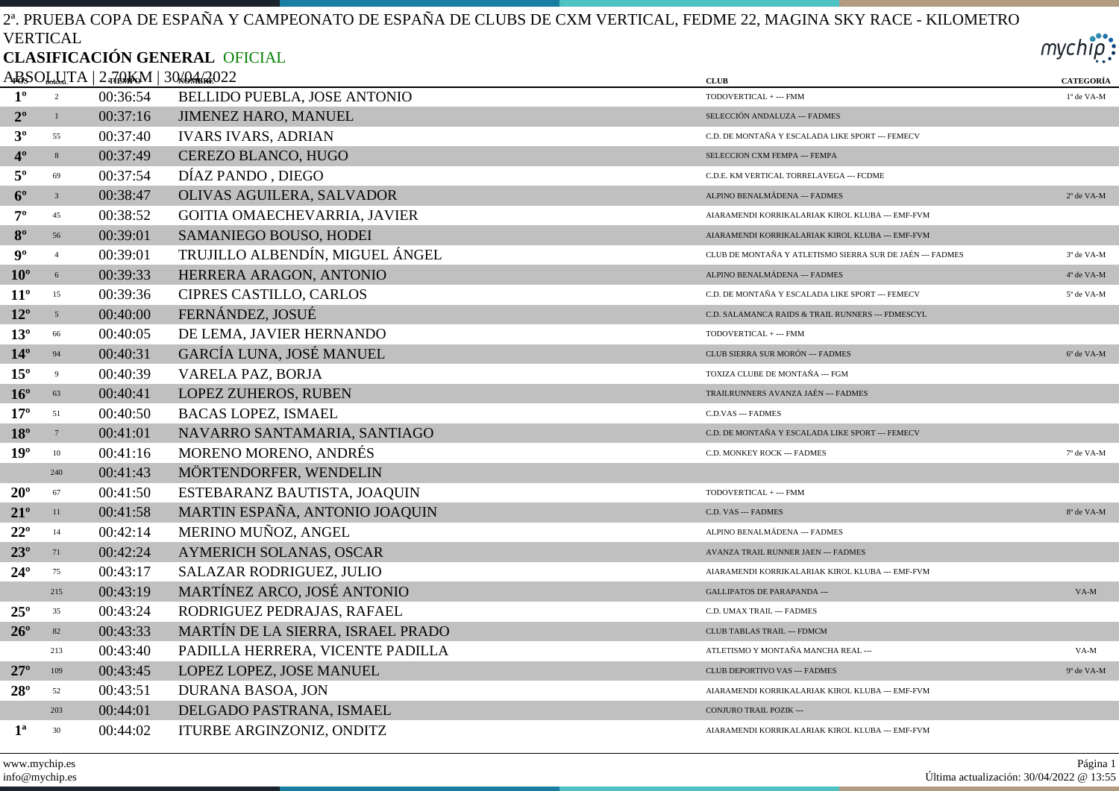## 2ª. PRUEBA COPA DE ESPAÑA Y CAMPEONATO DE ESPAÑA DE CLUBS DE CXM VERTICAL, FEDME 22, MAGINA SKY RACE - KILOMETRO VERTICAL

. . . .

. . . .

# **CLASIFICACIÓN GENERAL** OFICIAL



|                  |                 | ABSOLUTA   2.70KM   30.042022 |                                   | <b>CLUB</b>                                               | <b>CATEGORÍA</b>    |
|------------------|-----------------|-------------------------------|-----------------------------------|-----------------------------------------------------------|---------------------|
| $1^{\circ}$      | 2               | 00:36:54                      | BELLIDO PUEBLA, JOSE ANTONIO      | TODOVERTICAL + --- FMM                                    | $1^{\circ}$ de VA-M |
| $2^{\circ}$      | $1\,$           | 00:37:16                      | <b>JIMENEZ HARO, MANUEL</b>       | SELECCIÓN ANDALUZA --- FADMES                             |                     |
| 3 <sup>0</sup>   | 55              | 00:37:40                      | <b>IVARS IVARS, ADRIAN</b>        | C.D. DE MONTAÑA Y ESCALADA LIKE SPORT --- FEMECV          |                     |
| $4^{\circ}$      | $8\,$           | 00:37:49                      | CEREZO BLANCO, HUGO               | SELECCION CXM FEMPA --- FEMPA                             |                     |
| $5^{\rm o}$      | 69              | 00:37:54                      | DÍAZ PANDO, DIEGO                 | C.D.E. KM VERTICAL TORRELAVEGA --- FCDME                  |                     |
| $6^{\circ}$      | $\mathbf{3}$    | 00:38:47                      | OLIVAS AGUILERA, SALVADOR         | ALPINO BENALMÁDENA --- FADMES                             | $2^{\circ}$ de VA-M |
| $7^{\circ}$      | 45              | 00:38:52                      | GOITIA OMAECHEVARRIA, JAVIER      | AIARAMENDI KORRIKALARIAK KIROL KLUBA --- EMF-FVM          |                     |
| $8^{\circ}$      | 56              | 00:39:01                      | SAMANIEGO BOUSO, HODEI            | AIARAMENDI KORRIKALARIAK KIROL KLUBA --- EMF-FVM          |                     |
| $9^{\rm o}$      | $\overline{4}$  | 00:39:01                      | TRUJILLO ALBENDÍN, MIGUEL ÁNGEL   | CLUB DE MONTAÑA Y ATLETISMO SIERRA SUR DE JAÉN --- FADMES | 3° de VA-M          |
| $10^{\circ}$     | $6\phantom{.}6$ | 00:39:33                      | HERRERA ARAGON, ANTONIO           | ALPINO BENALMÁDENA --- FADMES                             | $4^{\rm o}$ de VA-M |
| $11^{\circ}$     | 15              | 00:39:36                      | <b>CIPRES CASTILLO, CARLOS</b>    | C.D. DE MONTAÑA Y ESCALADA LIKE SPORT --- FEMECV          | 5° de VA-M          |
| $12^{\circ}$     | $5\overline{ }$ | 00:40:00                      | FERNÁNDEZ, JOSUÉ                  | C.D. SALAMANCA RAIDS & TRAIL RUNNERS --- FDMESCYL         |                     |
| $13^{\circ}$     | 66              | 00:40:05                      | DE LEMA, JAVIER HERNANDO          | TODOVERTICAL + --- FMM                                    |                     |
| $14^{\circ}$     | 94              | 00:40:31                      | <b>GARCÍA LUNA, JOSÉ MANUEL</b>   | CLUB SIERRA SUR MORÓN --- FADMES                          | $6^{\rm o}$ de VA-M |
| $15^\circ$       | 9               | 00:40:39                      | VARELA PAZ, BORJA                 | TOXIZA CLUBE DE MONTAÑA --- FGM                           |                     |
| $16^{\circ}$     | 63              | 00:40:41                      | LOPEZ ZUHEROS, RUBEN              | TRAILRUNNERS AVANZA JAÉN --- FADMES                       |                     |
| $17^{\circ}$     | 51              | 00:40:50                      | <b>BACAS LOPEZ, ISMAEL</b>        | C.D.VAS --- FADMES                                        |                     |
| $18^{\circ}$     | $7\phantom{.0}$ | 00:41:01                      | NAVARRO SANTAMARIA, SANTIAGO      | C.D. DE MONTAÑA Y ESCALADA LIKE SPORT --- FEMECV          |                     |
| $19^\circ$       | 10              | 00:41:16                      | <b>MORENO MORENO, ANDRÉS</b>      | C.D. MONKEY ROCK --- FADMES                               | 7° de VA-M          |
|                  | 240             | 00:41:43                      | MÖRTENDORFER, WENDELIN            |                                                           |                     |
| $20^{\circ}$     | 67              | 00:41:50                      | ESTEBARANZ BAUTISTA, JOAQUIN      | TODOVERTICAL + --- FMM                                    |                     |
| $21^{\circ}$     | 11              | 00:41:58                      | MARTIN ESPAÑA, ANTONIO JOAQUIN    | C.D. VAS --- FADMES                                       | 8° de VA-M          |
| $22^{\circ}$     | 14              | 00:42:14                      | MERINO MUÑOZ, ANGEL               | ALPINO BENALMÁDENA --- FADMES                             |                     |
| $23^\circ$       | 71              | 00:42:24                      | AYMERICH SOLANAS, OSCAR           | AVANZA TRAIL RUNNER JAEN --- FADMES                       |                     |
| $24^\circ$       | 75              | 00:43:17                      | <b>SALAZAR RODRIGUEZ, JULIO</b>   | AIARAMENDI KORRIKALARIAK KIROL KLUBA --- EMF-FVM          |                     |
|                  | 215             | 00:43:19                      | MARTÍNEZ ARCO, JOSÉ ANTONIO       | <b>GALLIPATOS DE PARAPANDA ---</b>                        | VA-M                |
| $25^\circ$       | 35              | 00:43:24                      | RODRIGUEZ PEDRAJAS, RAFAEL        | C.D. UMAX TRAIL --- FADMES                                |                     |
| $26^\circ$       | 82              | 00:43:33                      | MARTÍN DE LA SIERRA, ISRAEL PRADO | CLUB TABLAS TRAIL --- FDMCM                               |                     |
|                  | 213             | 00:43:40                      | PADILLA HERRERA, VICENTE PADILLA  | ATLETISMO Y MONTAÑA MANCHA REAL ---                       | VA-M                |
| $27^\circ$       | 109             | 00:43:45                      | LOPEZ LOPEZ, JOSE MANUEL          | CLUB DEPORTIVO VAS --- FADMES                             | 9° de VA-M          |
| $28^\circ$       | 52              | 00:43:51                      | DURANA BASOA, JON                 | AIARAMENDI KORRIKALARIAK KIROL KLUBA --- EMF-FVM          |                     |
|                  | 203             | 00:44:01                      | DELGADO PASTRANA, ISMAEL          | CONJURO TRAIL POZIK ---                                   |                     |
| $1^{\mathrm{a}}$ | 30              | 00:44:02                      | <b>ITURBE ARGINZONIZ, ONDITZ</b>  | AIARAMENDI KORRIKALARIAK KIROL KLUBA --- EMF-FVM          |                     |
|                  |                 |                               |                                   |                                                           |                     |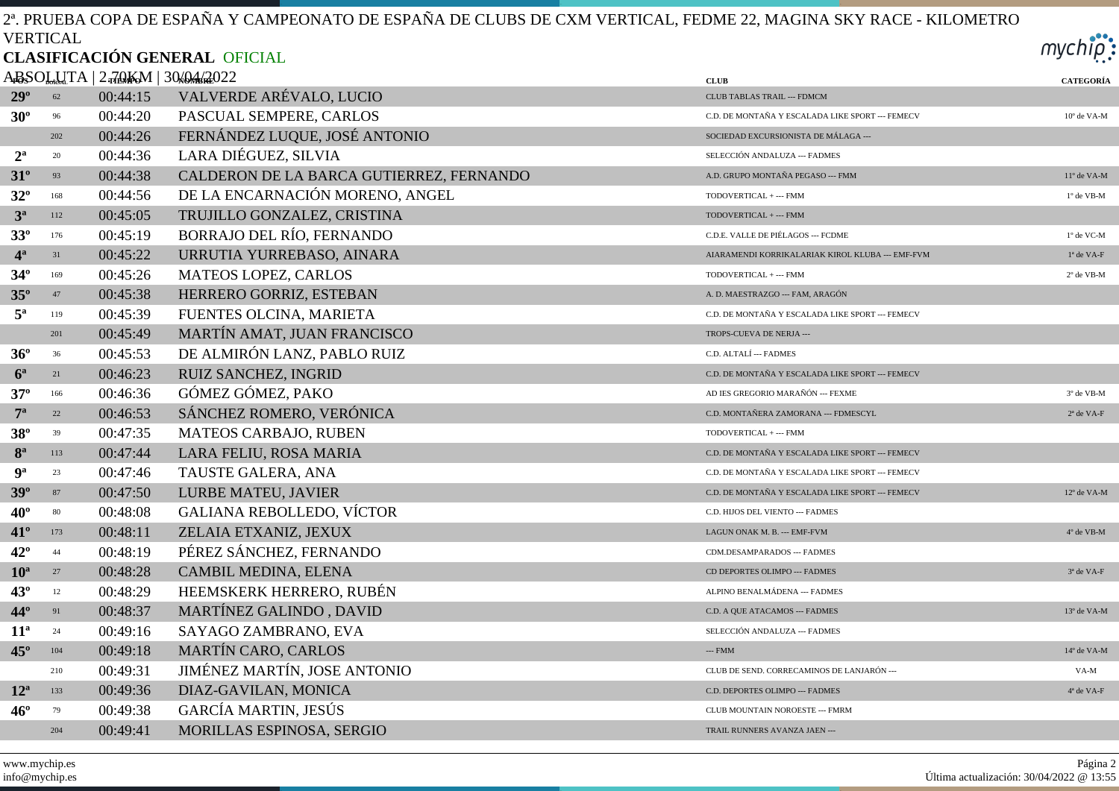## 2ª. PRUEBA COPA DE ESPAÑA Y CAMPEONATO DE ESPAÑA DE CLUBS DE CXM VERTICAL, FEDME 22, MAGINA SKY RACE - KILOMETRO VERTICAL

. . . .

. . . .

# **CLASIFICACIÓN GENERAL** OFICIAL



|                  |     |          | ABSOLUTA   2 70KM   30X042022            | <b>CLUB</b>                                      | <b>CATEGORÍA</b>       |
|------------------|-----|----------|------------------------------------------|--------------------------------------------------|------------------------|
| $29^\circ$       | 62  | 00:44:15 | VALVERDE ARÉVALO, LUCIO                  | CLUB TABLAS TRAIL --- FDMCM                      |                        |
| $30^{\circ}$     | 96  | 00:44:20 | PASCUAL SEMPERE, CARLOS                  | C.D. DE MONTAÑA Y ESCALADA LIKE SPORT --- FEMECV | $10^{\circ}$ de VA-M   |
|                  | 202 | 00:44:26 | FERNÁNDEZ LUQUE, JOSÉ ANTONIO            | SOCIEDAD EXCURSIONISTA DE MÁLAGA ---             |                        |
| $2^{\rm a}$      | 20  | 00:44:36 | LARA DIÉGUEZ, SILVIA                     | SELECCIÓN ANDALUZA --- FADMES                    |                        |
| $31^\circ$       | 93  | 00:44:38 | CALDERON DE LA BARCA GUTIERREZ, FERNANDO | A.D. GRUPO MONTAÑA PEGASO --- FMM                | $11^{\circ}$ de VA-M   |
| $32^{\circ}$     | 168 | 00:44:56 | DE LA ENCARNACIÓN MORENO, ANGEL          | TODOVERTICAL + --- FMM                           | $1^{\circ}$ de VB-M    |
| 3 <sup>a</sup>   | 112 | 00:45:05 | TRUJILLO GONZALEZ, CRISTINA              | TODOVERTICAL + --- FMM                           |                        |
| $33^{\circ}$     | 176 | 00:45:19 | BORRAJO DEL RÍO, FERNANDO                | C.D.E. VALLE DE PIÉLAGOS --- FCDME               | 1° de VC-M             |
| 4 <sup>a</sup>   | 31  | 00:45:22 | URRUTIA YURREBASO, AINARA                | AIARAMENDI KORRIKALARIAK KIROL KLUBA --- EMF-FVM | $1^a$ de VA-F          |
| $34^\circ$       | 169 | 00:45:26 | MATEOS LOPEZ, CARLOS                     | TODOVERTICAL + --- FMM                           | $2^{\circ}$ de VB-M    |
| $35^\circ$       | 47  | 00:45:38 | HERRERO GORRIZ, ESTEBAN                  | A. D. MAESTRAZGO --- FAM, ARAGÓN                 |                        |
| $5^{\rm a}$      | 119 | 00:45:39 | FUENTES OLCINA, MARIETA                  | C.D. DE MONTAÑA Y ESCALADA LIKE SPORT --- FEMECV |                        |
|                  | 201 | 00:45:49 | MARTÍN AMAT, JUAN FRANCISCO              | TROPS-CUEVA DE NERJA ---                         |                        |
| $36^{\circ}$     | 36  | 00:45:53 | DE ALMIRÓN LANZ, PABLO RUIZ              | C.D. ALTALÍ --- FADMES                           |                        |
| $6^{\mathrm{a}}$ | 21  | 00:46:23 | RUIZ SANCHEZ, INGRID                     | C.D. DE MONTAÑA Y ESCALADA LIKE SPORT --- FEMECV |                        |
| $37^\circ$       | 166 | 00:46:36 | GÓMEZ GÓMEZ, PAKO                        | AD IES GREGORIO MARAÑÓN --- FEXME                | $3^{\rm o}$ de VB-M    |
| $7^{\mathrm{a}}$ | 22  | 00:46:53 | SÁNCHEZ ROMERO, VERÓNICA                 | C.D. MONTAÑERA ZAMORANA --- FDMESCYL             | $2^a$ de VA-F          |
| $38^\circ$       | 39  | 00:47:35 | <b>MATEOS CARBAJO, RUBEN</b>             | TODOVERTICAL + --- FMM                           |                        |
| 8 <sup>a</sup>   | 113 | 00:47:44 | LARA FELIU, ROSA MARIA                   | C.D. DE MONTAÑA Y ESCALADA LIKE SPORT --- FEMECV |                        |
| 9 <sup>a</sup>   | 23  | 00:47:46 | TAUSTE GALERA, ANA                       | C.D. DE MONTAÑA Y ESCALADA LIKE SPORT --- FEMECV |                        |
| $39^\circ$       | 87  | 00:47:50 | <b>LURBE MATEU, JAVIER</b>               | C.D. DE MONTAÑA Y ESCALADA LIKE SPORT --- FEMECV | $12^{\circ}$ de VA-M   |
| $40^{\circ}$     | 80  | 00:48:08 | GALIANA REBOLLEDO, VÍCTOR                | C.D. HIJOS DEL VIENTO --- FADMES                 |                        |
| $41^{\circ}$     | 173 | 00:48:11 | ZELAIA ETXANIZ, JEXUX                    | LAGUN ONAK M. B. --- EMF-FVM                     | 4° de VB-M             |
| $42^{\circ}$     | 44  | 00:48:19 | PÉREZ SÁNCHEZ, FERNANDO                  | CDM.DESAMPARADOS --- FADMES                      |                        |
| 10 <sup>a</sup>  | 27  | 00:48:28 | <b>CAMBIL MEDINA, ELENA</b>              | CD DEPORTES OLIMPO --- FADMES                    | $3a$ de VA-F           |
| $43^\circ$       | 12  | 00:48:29 | HEEMSKERK HERRERO, RUBÉN                 | ALPINO BENALMÁDENA --- FADMES                    |                        |
| 44 <sup>o</sup>  | 91  | 00:48:37 | MARTÍNEZ GALINDO, DAVID                  | C.D. A QUE ATACAMOS --- FADMES                   | 13° de VA-M            |
| 11 <sup>a</sup>  | 24  | 00:49:16 | SAYAGO ZAMBRANO, EVA                     | SELECCIÓN ANDALUZA --- FADMES                    |                        |
| $45^{\circ}$     | 104 | 00:49:18 | <b>MARTÍN CARO, CARLOS</b>               | --- FMM                                          | 14° de VA-M            |
|                  | 210 | 00:49:31 | JIMÉNEZ MARTÍN, JOSE ANTONIO             | CLUB DE SEND. CORRECAMINOS DE LANJARÓN ---       | VA-M                   |
| $12^{\rm a}$     | 133 | 00:49:36 | DIAZ-GAVILAN, MONICA                     | C.D. DEPORTES OLIMPO --- FADMES                  | 4 <sup>ª</sup> de VA-F |
| $46^{\circ}$     | 79  | 00:49:38 | GARCÍA MARTIN, JESÚS                     | CLUB MOUNTAIN NOROESTE --- FMRM                  |                        |
|                  | 204 | 00:49:41 | MORILLAS ESPINOSA, SERGIO                | TRAIL RUNNERS AVANZA JAEN ---                    |                        |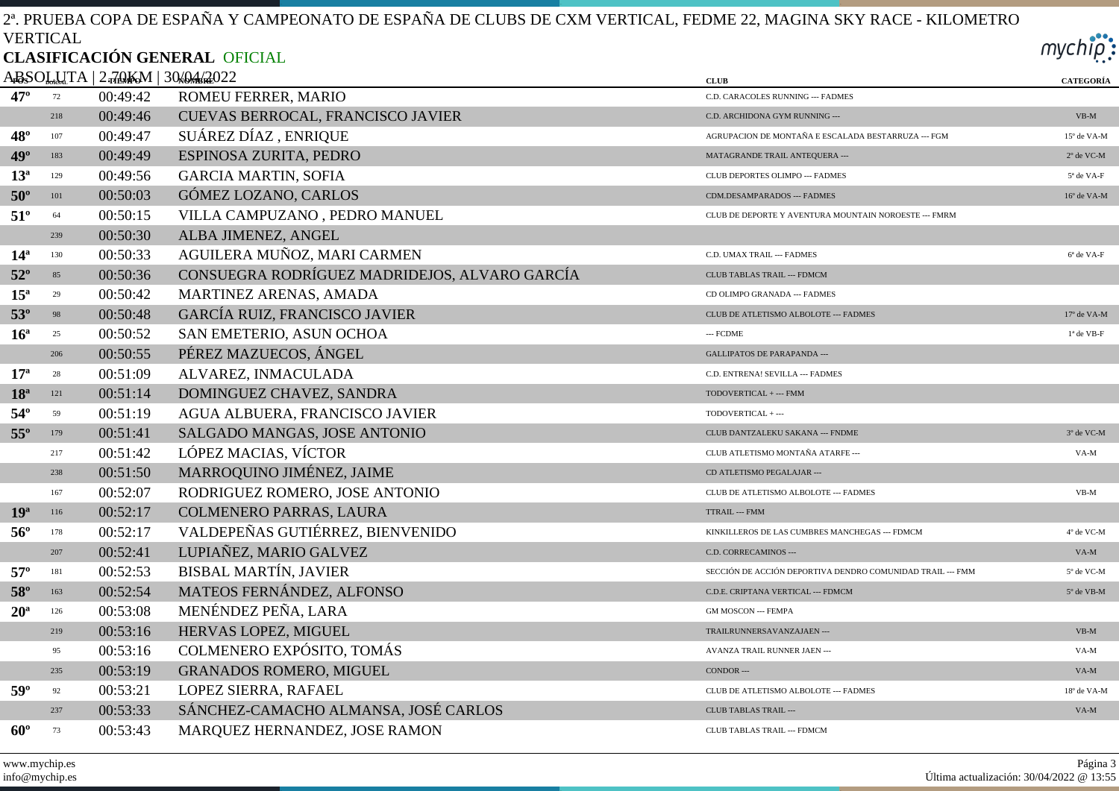#### 2ª. PRUEBA COPA DE ESPAÑA Y CAMPEONATO DE ESPAÑA DE CLUBS DE CXM VERTICAL, FEDME 22, MAGINA SKY RACE - KILOMETRO VERTICAL **CLASIFICACIÓN GENERAL** OFICIAL

. . . .

. . . .

 $mychi$ <sup> $\ddot{\rho}$ </sup>:

|                 |         |          | $A$ BSOLUTA   2 $\pi$ BKM   30 $\sqrt{8}$ H $\pi$ 2022 | <b>CLUB</b>                                                | <b>CATEGORÍA</b>         |
|-----------------|---------|----------|--------------------------------------------------------|------------------------------------------------------------|--------------------------|
| $47^\circ$      | 72      | 00:49:42 | ROMEU FERRER, MARIO                                    | C.D. CARACOLES RUNNING --- FADMES                          |                          |
|                 | 218     | 00:49:46 | CUEVAS BERROCAL, FRANCISCO JAVIER                      | C.D. ARCHIDONA GYM RUNNING ---                             | $VB-M$                   |
| 48 <sup>°</sup> | $107\,$ | 00:49:47 | SUÁREZ DÍAZ, ENRIQUE                                   | AGRUPACION DE MONTAÑA E ESCALADA BESTARRUZA --- FGM        | 15° de VA-M              |
| 49°             | 183     | 00:49:49 | ESPINOSA ZURITA, PEDRO                                 | MATAGRANDE TRAIL ANTEQUERA ---                             | $2^{\rm o}$ de VC-M      |
| 13 <sup>a</sup> | 129     | 00:49:56 | <b>GARCIA MARTIN, SOFIA</b>                            | CLUB DEPORTES OLIMPO --- FADMES                            | $5^{\mathrm{a}}$ de VA-F |
| $50^\circ$      | $101\,$ | 00:50:03 | <b>GÓMEZ LOZANO, CARLOS</b>                            | CDM.DESAMPARADOS --- FADMES                                | 16° de VA-M              |
| $51^\circ$      | 64      | 00:50:15 | VILLA CAMPUZANO, PEDRO MANUEL                          | CLUB DE DEPORTE Y AVENTURA MOUNTAIN NOROESTE --- FMRM      |                          |
|                 | 239     | 00:50:30 | ALBA JIMENEZ, ANGEL                                    |                                                            |                          |
| 14 <sup>a</sup> | 130     | 00:50:33 | AGUILERA MUÑOZ, MARI CARMEN                            | C.D. UMAX TRAIL --- FADMES                                 | $6^a$ de VA-F            |
| $52^{\circ}$    | 85      | 00:50:36 | CONSUEGRA RODRÍGUEZ MADRIDEJOS, ALVARO GARCÍA          | CLUB TABLAS TRAIL --- FDMCM                                |                          |
| $15^{\circ}$    | 29      | 00:50:42 | MARTINEZ ARENAS, AMADA                                 | CD OLIMPO GRANADA --- FADMES                               |                          |
| 53°             | 98      | 00:50:48 | <b>GARCÍA RUIZ, FRANCISCO JAVIER</b>                   | CLUB DE ATLETISMO ALBOLOTE --- FADMES                      | 17° de VA-M              |
| 16 <sup>a</sup> | 25      | 00:50:52 | SAN EMETERIO, ASUN OCHOA                               | --- FCDME                                                  | $1a$ de VB-F             |
|                 | 206     | 00:50:55 | PÉREZ MAZUECOS, ÁNGEL                                  | GALLIPATOS DE PARAPANDA ---                                |                          |
| 17 <sup>a</sup> | $28\,$  | 00:51:09 | ALVAREZ, INMACULADA                                    | C.D. ENTRENA! SEVILLA --- FADMES                           |                          |
| 18 <sup>a</sup> | $121\,$ | 00:51:14 | DOMINGUEZ CHAVEZ, SANDRA                               | TODOVERTICAL + --- FMM                                     |                          |
| $54^\circ$      | 59      | 00:51:19 | AGUA ALBUERA, FRANCISCO JAVIER                         | TODOVERTICAL +---                                          |                          |
| $55^\circ$      | 179     | 00:51:41 | SALGADO MANGAS, JOSE ANTONIO                           | CLUB DANTZALEKU SAKANA --- FNDME                           | 3° de VC-M               |
|                 | 217     | 00:51:42 | LÓPEZ MACIAS, VÍCTOR                                   | CLUB ATLETISMO MONTAÑA ATARFE ---                          | VA-M                     |
|                 | 238     | 00:51:50 | MARROQUINO JIMÉNEZ, JAIME                              | CD ATLETISMO PEGALAJAR ---                                 |                          |
|                 | 167     | 00:52:07 | RODRIGUEZ ROMERO, JOSE ANTONIO                         | CLUB DE ATLETISMO ALBOLOTE --- FADMES                      | $VB-M$                   |
| 19 <sup>a</sup> | 116     | 00:52:17 | <b>COLMENERO PARRAS, LAURA</b>                         | TTRAIL --- FMM                                             |                          |
| $56^{\circ}$    | 178     | 00:52:17 | VALDEPEÑAS GUTIÉRREZ, BIENVENIDO                       | KINKILLEROS DE LAS CUMBRES MANCHEGAS --- FDMCM             | 4° de VC-M               |
|                 | 207     | 00:52:41 | LUPIAÑEZ, MARIO GALVEZ                                 | C.D. CORRECAMINOS ---                                      | $VA-M$                   |
| $57^\circ$      | 181     | 00:52:53 | <b>BISBAL MARTÍN, JAVIER</b>                           | SECCIÓN DE ACCIÓN DEPORTIVA DENDRO COMUNIDAD TRAIL --- FMM | 5° de VC-M               |
| 58°             | 163     | 00:52:54 | MATEOS FERNÁNDEZ, ALFONSO                              | C.D.E. CRIPTANA VERTICAL --- FDMCM                         | $5^{\rm o}$ de VB-M      |
| 20 <sup>a</sup> | 126     | 00:53:08 | MENÉNDEZ PEÑA, LARA                                    | <b>GM MOSCON --- FEMPA</b>                                 |                          |
|                 | 219     | 00:53:16 | HERVAS LOPEZ, MIGUEL                                   | TRAILRUNNERSAVANZAJAEN ---                                 | $VB-M$                   |
|                 | 95      | 00:53:16 | COLMENERO EXPÓSITO, TOMÁS                              | AVANZA TRAIL RUNNER JAEN ---                               | VA-M                     |
|                 | 235     | 00:53:19 | <b>GRANADOS ROMERO, MIGUEL</b>                         | CONDOR ---                                                 | VA-M                     |
| $59^\circ$      | 92      | 00:53:21 | LOPEZ SIERRA, RAFAEL                                   | CLUB DE ATLETISMO ALBOLOTE --- FADMES                      | 18° de VA-M              |
|                 | 237     | 00:53:33 | SÁNCHEZ-CAMACHO ALMANSA, JOSÉ CARLOS                   | CLUB TABLAS TRAIL ---                                      | $VA-M$                   |
| $60^{\circ}$    | 73      | 00:53:43 | MARQUEZ HERNANDEZ, JOSE RAMON                          | CLUB TABLAS TRAIL --- FDMCM                                |                          |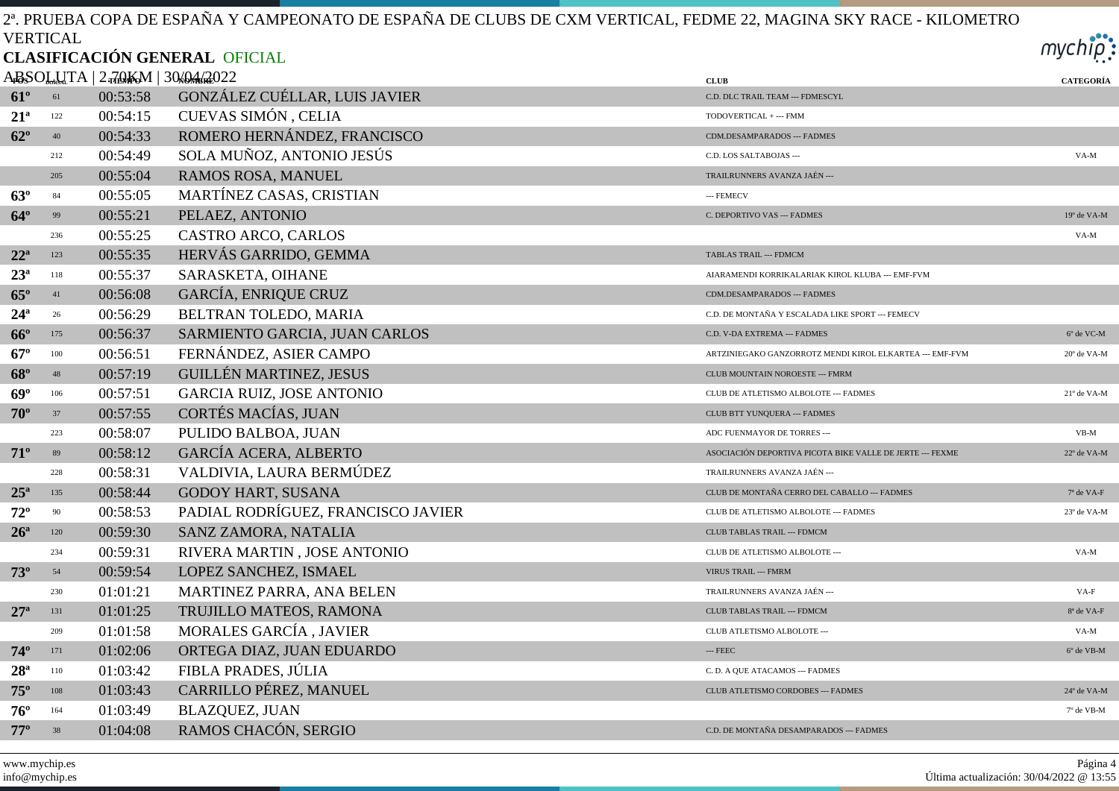#### 2ª. PRUEBA COPA DE ESPAÑA Y CAMPEONATO DE ESPAÑA DE CLUBS DE CXM VERTICAL, FEDME 22, MAGINA SKY RACE - KILOMETRO VERTICAL **CLASIFICACIÓN GENERAL** OFICIAL

. . . .

. . . .

# $mychi$ <sup> $\ddot{\rho}$ </sup>:

|                   |         |          |                                    | <b>CLUB</b>                                               | <b>CATEGORÍA</b>     |
|-------------------|---------|----------|------------------------------------|-----------------------------------------------------------|----------------------|
| $61^{\circ}$      | 61      | 00:53:58 | GONZÁLEZ CUÉLLAR, LUIS JAVIER      | C.D. DLC TRAIL TEAM --- FDMESCYL                          |                      |
| 21 <sup>a</sup>   | 122     | 00:54:15 | CUEVAS SIMÓN, CELIA                | TODOVERTICAL + --- FMM                                    |                      |
| $62^{\circ}$      | 40      | 00:54:33 | ROMERO HERNÁNDEZ, FRANCISCO        | CDM.DESAMPARADOS --- FADMES                               |                      |
|                   | 212     | 00:54:49 | SOLA MUÑOZ, ANTONIO JESÚS          | C.D. LOS SALTABOJAS ---                                   | VA-M                 |
|                   | 205     | 00:55:04 | RAMOS ROSA, MANUEL                 | TRAILRUNNERS AVANZA JAÉN ---                              |                      |
| $63^\circ$        | 84      | 00:55:05 | MARTÍNEZ CASAS, CRISTIAN           | --- FEMECV                                                |                      |
| $64^\circ$        | 99      | 00:55:21 | PELAEZ, ANTONIO                    | C. DEPORTIVO VAS --- FADMES                               | 19° de VA-M          |
|                   | 236     | 00:55:25 | <b>CASTRO ARCO, CARLOS</b>         |                                                           | VA-M                 |
| $22^{\mathrm{a}}$ | 123     | 00:55:35 | HERVÁS GARRIDO, GEMMA              | TABLAS TRAIL --- FDMCM                                    |                      |
| 23 <sup>a</sup>   | 118     | 00:55:37 | SARASKETA, OIHANE                  | AIARAMENDI KORRIKALARIAK KIROL KLUBA --- EMF-FVM          |                      |
| $65^\circ$        | 41      | 00:56:08 | GARCÍA, ENRIQUE CRUZ               | CDM.DESAMPARADOS --- FADMES                               |                      |
| 24 <sup>a</sup>   | 26      | 00:56:29 | BELTRAN TOLEDO, MARIA              | C.D. DE MONTAÑA Y ESCALADA LIKE SPORT --- FEMECV          |                      |
| $66^{\circ}$      | 175     | 00:56:37 | SARMIENTO GARCIA, JUAN CARLOS      | C.D. V-DA EXTREMA --- FADMES                              | 6° de VC-M           |
| $67^\circ$        | $100\,$ | 00:56:51 | FERNÁNDEZ, ASIER CAMPO             | ARTZINIEGAKO GANZORROTZ MENDI KIROL ELKARTEA --- EMF-FVM  | $20^{\circ}$ de VA-M |
| $68^\circ$        | 48      | 00:57:19 | <b>GUILLÉN MARTINEZ, JESUS</b>     | CLUB MOUNTAIN NOROESTE --- FMRM                           |                      |
| $69^\circ$        | 106     | 00:57:51 | <b>GARCIA RUIZ, JOSE ANTONIO</b>   | CLUB DE ATLETISMO ALBOLOTE --- FADMES                     | 21° de VA-M          |
| $70^{\circ}$      | 37      | 00:57:55 | CORTÉS MACÍAS, JUAN                | CLUB BTT YUNQUERA --- FADMES                              |                      |
|                   | 223     | 00:58:07 | PULIDO BALBOA, JUAN                | ADC FUENMAYOR DE TORRES ---                               | $VB-M$               |
| $71^\circ$        | 89      | 00:58:12 | <b>GARCÍA ACERA, ALBERTO</b>       | ASOCIACIÓN DEPORTIVA PICOTA BIKE VALLE DE JERTE --- FEXME | 22° de VA-M          |
|                   | 228     | 00:58:31 | VALDIVIA, LAURA BERMÚDEZ           | TRAILRUNNERS AVANZA JAÉN ---                              |                      |
| $25^{\circ}$      | 135     | 00:58:44 | <b>GODOY HART, SUSANA</b>          | CLUB DE MONTAÑA CERRO DEL CABALLO --- FADMES              | 7ª de VA-F           |
| $72^{\circ}$      | 90      | 00:58:53 | PADIAL RODRÍGUEZ, FRANCISCO JAVIER | CLUB DE ATLETISMO ALBOLOTE --- FADMES                     | 23° de VA-M          |
| 26 <sup>a</sup>   | 120     | 00:59:30 | SANZ ZAMORA, NATALIA               | CLUB TABLAS TRAIL --- FDMCM                               |                      |
|                   | 234     | 00:59:31 | RIVERA MARTIN, JOSE ANTONIO        | CLUB DE ATLETISMO ALBOLOTE ---                            | VA-M                 |
| $73^\circ$        | 54      | 00:59:54 | LOPEZ SANCHEZ, ISMAEL              | VIRUS TRAIL --- FMRM                                      |                      |
|                   | 230     | 01:01:21 | MARTINEZ PARRA, ANA BELEN          | TRAILRUNNERS AVANZA JAÉN ---                              | $VA-F$               |
| 27 <sup>a</sup>   | 131     | 01:01:25 | TRUJILLO MATEOS, RAMONA            | CLUB TABLAS TRAIL --- FDMCM                               | $8^{\rm a}$ de VA-F  |
|                   | 209     | 01:01:58 | MORALES GARCÍA, JAVIER             | CLUB ATLETISMO ALBOLOTE ---                               | $VA-M$               |
| $74^\circ$        | 171     | 01:02:06 | ORTEGA DIAZ, JUAN EDUARDO          | $-$ FEEC                                                  | $6^{\circ}$ de VB-M  |
| 28 <sup>a</sup>   | 110     | 01:03:42 | FIBLA PRADES, JÚLIA                | C. D. A QUE ATACAMOS --- FADMES                           |                      |
| $75^{\circ}$      | 108     | 01:03:43 | CARRILLO PÉREZ, MANUEL             | CLUB ATLETISMO CORDOBES --- FADMES                        | 24° de VA-M          |
| $76^{\circ}$      | 164     | 01:03:49 | <b>BLAZQUEZ, JUAN</b>              |                                                           | $7^{\rm o}$ de VB-M  |
| $77^\circ$        | 38      | 01:04:08 | RAMOS CHACÓN, SERGIO               | C.D. DE MONTAÑA DESAMPARADOS --- FADMES                   |                      |

www.mychip.es info@mychip.es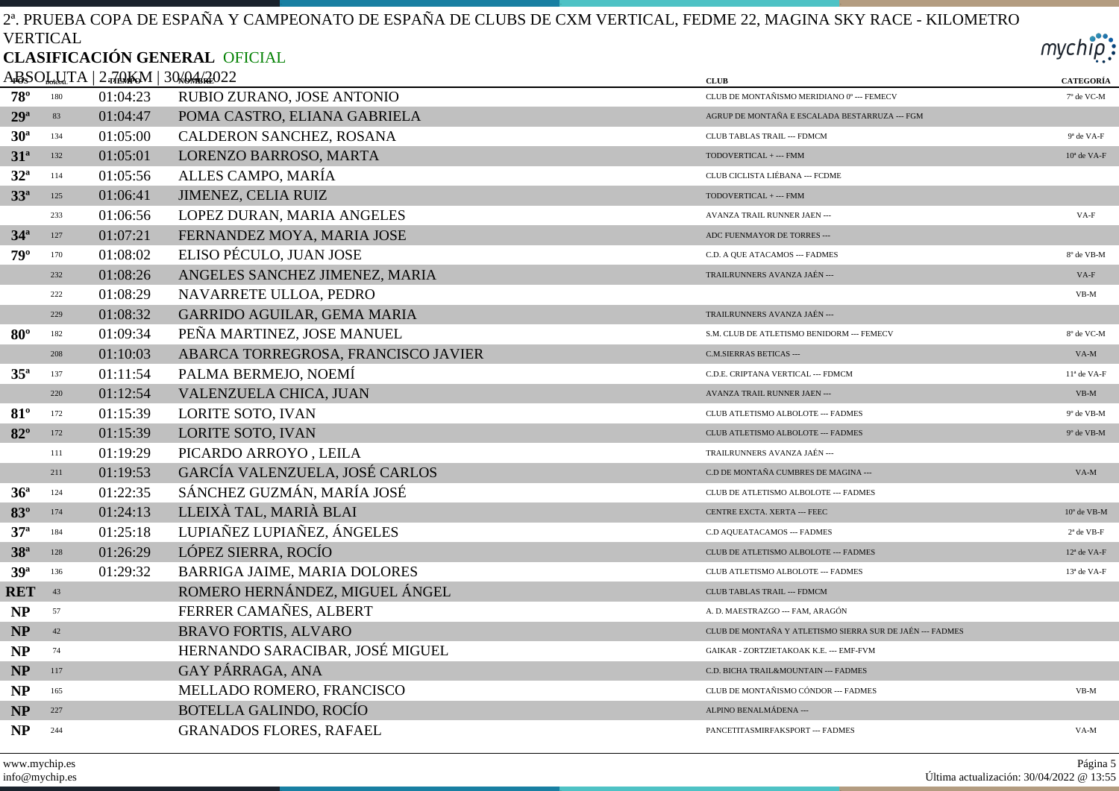#### 2ª. PRUEBA COPA DE ESPAÑA Y CAMPEONATO DE ESPAÑA DE CLUBS DE CXM VERTICAL, FEDME 22, MAGINA SKY RACE - KILOMETRO VERTICAL **CLASIFICACIÓN GENERAL** OFICIAL

. . . .

. . . .



|                 |     |          | $A$ BSOLUTA   2 $\pi$ BKM   30 $\sqrt{9}$ H $\pi$ 2022 | <b>CLUB</b>                                               | CATEGORÍA               |
|-----------------|-----|----------|--------------------------------------------------------|-----------------------------------------------------------|-------------------------|
| <b>78°</b>      | 180 | 01:04:23 | RUBIO ZURANO, JOSE ANTONIO                             | CLUB DE MONTAÑISMO MERIDIANO 0° --- FEMECV                | $7^{\circ}$ de VC-M     |
| 29 <sup>a</sup> | 83  | 01:04:47 | POMA CASTRO, ELIANA GABRIELA                           | AGRUP DE MONTAÑA E ESCALADA BESTARRUZA --- FGM            |                         |
| 30 <sup>a</sup> | 134 | 01:05:00 | CALDERON SANCHEZ, ROSANA                               | CLUB TABLAS TRAIL --- FDMCM                               | $9^a$ de VA-F           |
| 31 <sup>a</sup> | 132 | 01:05:01 | LORENZO BARROSO, MARTA                                 | $\texttt{TODOVERTICAL} + \texttt{---} \texttt{FMM}$       | $10^a$ de VA-F          |
| 32 <sup>a</sup> | 114 | 01:05:56 | ALLES CAMPO, MARÍA                                     | CLUB CICLISTA LIÉBANA --- FCDME                           |                         |
| 33 <sup>a</sup> | 125 | 01:06:41 | JIMENEZ, CELIA RUIZ                                    | $\texttt{TODOVERTICAL} + \texttt{---} \texttt{FMM}$       |                         |
|                 | 233 | 01:06:56 | LOPEZ DURAN, MARIA ANGELES                             | AVANZA TRAIL RUNNER JAEN ---                              | $VA-F$                  |
| 34 <sup>a</sup> | 127 | 01:07:21 | FERNANDEZ MOYA, MARIA JOSE                             | ADC FUENMAYOR DE TORRES ---                               |                         |
| $79^\circ$      | 170 | 01:08:02 | ELISO PÉCULO, JUAN JOSE                                | C.D. A QUE ATACAMOS --- FADMES                            | 8° de VB-M              |
|                 | 232 | 01:08:26 | ANGELES SANCHEZ JIMENEZ, MARIA                         | TRAILRUNNERS AVANZA JAÉN ---                              | $VA-F$                  |
|                 | 222 | 01:08:29 | NAVARRETE ULLOA, PEDRO                                 |                                                           | $VB-M$                  |
|                 | 229 | 01:08:32 | GARRIDO AGUILAR, GEMA MARIA                            | TRAILRUNNERS AVANZA JAÉN ---                              |                         |
| $80^\circ$      | 182 | 01:09:34 | PEÑA MARTINEZ, JOSE MANUEL                             | S.M. CLUB DE ATLETISMO BENIDORM --- FEMECV                | 8° de VC-M              |
|                 | 208 | 01:10:03 | ABARCA TORREGROSA, FRANCISCO JAVIER                    | C.M.SIERRAS BETICAS ---                                   | $VA-M$                  |
| 35 <sup>a</sup> | 137 | 01:11:54 | PALMA BERMEJO, NOEMÍ                                   | C.D.E. CRIPTANA VERTICAL --- FDMCM                        | $11a$ de VA-F           |
|                 | 220 | 01:12:54 | VALENZUELA CHICA, JUAN                                 | AVANZA TRAIL RUNNER JAEN ---                              | $VB-M$                  |
| 81°             | 172 | 01:15:39 | <b>LORITE SOTO, IVAN</b>                               | CLUB ATLETISMO ALBOLOTE --- FADMES                        | 9° de VB-M              |
| $82^\circ$      | 172 | 01:15:39 | <b>LORITE SOTO, IVAN</b>                               | CLUB ATLETISMO ALBOLOTE --- FADMES                        | 9° de VB-M              |
|                 | 111 | 01:19:29 | PICARDO ARROYO, LEILA                                  | TRAILRUNNERS AVANZA JAÉN ---                              |                         |
|                 | 211 | 01:19:53 | GARCÍA VALENZUELA, JOSÉ CARLOS                         | C.D DE MONTAÑA CUMBRES DE MAGINA ---                      | $VA-M$                  |
| 36 <sup>a</sup> | 124 | 01:22:35 | SÁNCHEZ GUZMÁN, MARÍA JOSÉ                             | CLUB DE ATLETISMO ALBOLOTE --- FADMES                     |                         |
| 83°             | 174 | 01:24:13 | LLEIXÀ TAL, MARIÀ BLAI                                 | CENTRE EXCTA. XERTA --- FEEC                              | $10^{\circ}$ de VB-M    |
| 37 <sup>a</sup> | 184 | 01:25:18 | LUPIAÑEZ LUPIAÑEZ, ÁNGELES                             | C.D AQUEATACAMOS --- FADMES                               | $2^a$ de VB-F           |
| 38 <sup>a</sup> | 128 | 01:26:29 | LÓPEZ SIERRA, ROCÍO                                    | CLUB DE ATLETISMO ALBOLOTE --- FADMES                     | $12^a$ de VA-F          |
| 39 <sup>a</sup> | 136 | 01:29:32 | <b>BARRIGA JAIME, MARIA DOLORES</b>                    | CLUB ATLETISMO ALBOLOTE --- FADMES                        | 13 <sup>ª</sup> de VA-F |
| <b>RET</b>      | 43  |          | ROMERO HERNÁNDEZ, MIGUEL ÁNGEL                         | CLUB TABLAS TRAIL --- FDMCM                               |                         |
| <b>NP</b>       | 57  |          | FERRER CAMAÑES, ALBERT                                 | A. D. MAESTRAZGO --- FAM, ARAGÓN                          |                         |
| <b>NP</b>       | 42  |          | <b>BRAVO FORTIS, ALVARO</b>                            | CLUB DE MONTAÑA Y ATLETISMO SIERRA SUR DE JAÉN --- FADMES |                         |
| <b>NP</b>       | 74  |          | HERNANDO SARACIBAR, JOSÉ MIGUEL                        | GAIKAR - ZORTZIETAKOAK K.E. --- EMF-FVM                   |                         |
| <b>NP</b>       | 117 |          | GAY PÁRRAGA, ANA                                       | C.D. BICHA TRAIL&MOUNTAIN --- FADMES                      |                         |
| <b>NP</b>       | 165 |          | MELLADO ROMERO, FRANCISCO                              | CLUB DE MONTAÑISMO CÓNDOR --- FADMES                      | $VB-M$                  |
| <b>NP</b>       | 227 |          | <b>BOTELLA GALINDO, ROCÍO</b>                          | ALPINO BENALMÁDENA ---                                    |                         |
| <b>NP</b>       | 244 |          | <b>GRANADOS FLORES, RAFAEL</b>                         | PANCETITASMIRFAKSPORT --- FADMES                          | VA-M                    |